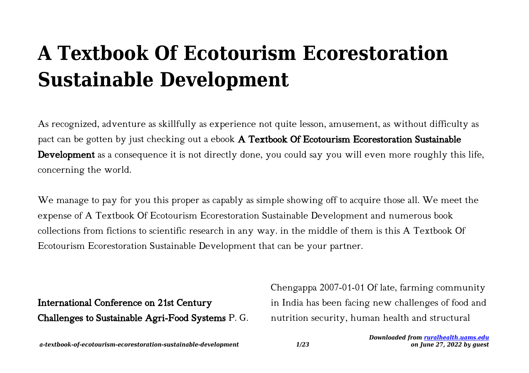# **A Textbook Of Ecotourism Ecorestoration Sustainable Development**

As recognized, adventure as skillfully as experience not quite lesson, amusement, as without difficulty as pact can be gotten by just checking out a ebook A Textbook Of Ecotourism Ecorestoration Sustainable Development as a consequence it is not directly done, you could say you will even more roughly this life, concerning the world.

We manage to pay for you this proper as capably as simple showing off to acquire those all. We meet the expense of A Textbook Of Ecotourism Ecorestoration Sustainable Development and numerous book collections from fictions to scientific research in any way. in the middle of them is this A Textbook Of Ecotourism Ecorestoration Sustainable Development that can be your partner.

International Conference on 21st Century Challenges to Sustainable Agri-Food Systems P. G. Chengappa 2007-01-01 Of late, farming community in India has been facing new challenges of food and nutrition security, human health and structural

*a-textbook-of-ecotourism-ecorestoration-sustainable-development 1/23*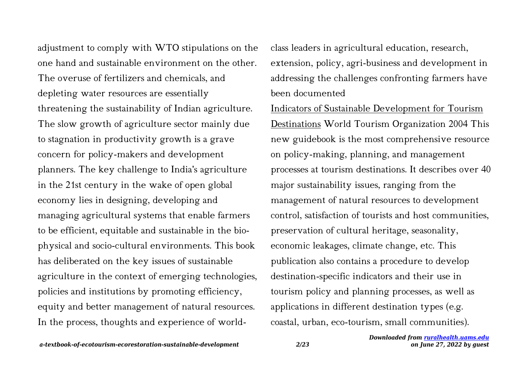adjustment to comply with WTO stipulations on the one hand and sustainable environment on the other. The overuse of fertilizers and chemicals, and depleting water resources are essentially threatening the sustainability of Indian agriculture. The slow growth of agriculture sector mainly due to stagnation in productivity growth is a grave concern for policy-makers and development planners. The key challenge to India's agriculture in the 21st century in the wake of open global economy lies in designing, developing and managing agricultural systems that enable farmers to be efficient, equitable and sustainable in the biophysical and socio-cultural environments. This book has deliberated on the key issues of sustainable agriculture in the context of emerging technologies, policies and institutions by promoting efficiency, equity and better management of natural resources. In the process, thoughts and experience of worldclass leaders in agricultural education, research, extension, policy, agri-business and development in addressing the challenges confronting farmers have been documented

Indicators of Sustainable Development for Tourism Destinations World Tourism Organization 2004 This new guidebook is the most comprehensive resource on policy-making, planning, and management processes at tourism destinations. It describes over 40 major sustainability issues, ranging from the management of natural resources to development control, satisfaction of tourists and host communities, preservation of cultural heritage, seasonality, economic leakages, climate change, etc. This publication also contains a procedure to develop destination-specific indicators and their use in tourism policy and planning processes, as well as applications in different destination types (e.g. coastal, urban, eco-tourism, small communities).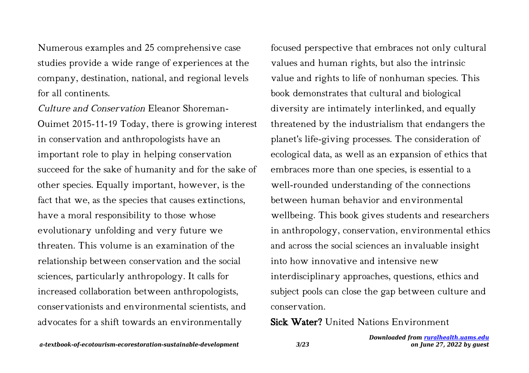Numerous examples and 25 comprehensive case studies provide a wide range of experiences at the company, destination, national, and regional levels for all continents.

Culture and Conservation Eleanor Shoreman-Ouimet 2015-11-19 Today, there is growing interest in conservation and anthropologists have an important role to play in helping conservation succeed for the sake of humanity and for the sake of other species. Equally important, however, is the fact that we, as the species that causes extinctions, have a moral responsibility to those whose evolutionary unfolding and very future we threaten. This volume is an examination of the relationship between conservation and the social sciences, particularly anthropology. It calls for increased collaboration between anthropologists, conservationists and environmental scientists, and advocates for a shift towards an environmentally

focused perspective that embraces not only cultural values and human rights, but also the intrinsic value and rights to life of nonhuman species. This book demonstrates that cultural and biological diversity are intimately interlinked, and equally threatened by the industrialism that endangers the planet's life-giving processes. The consideration of ecological data, as well as an expansion of ethics that embraces more than one species, is essential to a well-rounded understanding of the connections between human behavior and environmental wellbeing. This book gives students and researchers in anthropology, conservation, environmental ethics and across the social sciences an invaluable insight into how innovative and intensive new interdisciplinary approaches, questions, ethics and subject pools can close the gap between culture and conservation.

Sick Water? United Nations Environment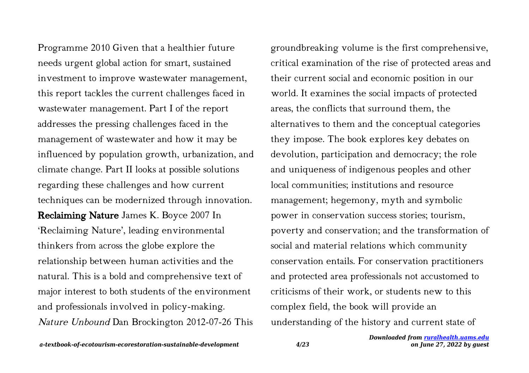Programme 2010 Given that a healthier future needs urgent global action for smart, sustained investment to improve wastewater management, this report tackles the current challenges faced in wastewater management. Part I of the report addresses the pressing challenges faced in the management of wastewater and how it may be influenced by population growth, urbanization, and climate change. Part II looks at possible solutions regarding these challenges and how current techniques can be modernized through innovation. Reclaiming Nature James K. Boyce 2007 In 'Reclaiming Nature', leading environmental thinkers from across the globe explore the relationship between human activities and the natural. This is a bold and comprehensive text of major interest to both students of the environment and professionals involved in policy-making. Nature Unbound Dan Brockington 2012-07-26 This

groundbreaking volume is the first comprehensive, critical examination of the rise of protected areas and their current social and economic position in our world. It examines the social impacts of protected areas, the conflicts that surround them, the alternatives to them and the conceptual categories they impose. The book explores key debates on devolution, participation and democracy; the role and uniqueness of indigenous peoples and other local communities; institutions and resource management; hegemony, myth and symbolic power in conservation success stories; tourism, poverty and conservation; and the transformation of social and material relations which community conservation entails. For conservation practitioners and protected area professionals not accustomed to criticisms of their work, or students new to this complex field, the book will provide an understanding of the history and current state of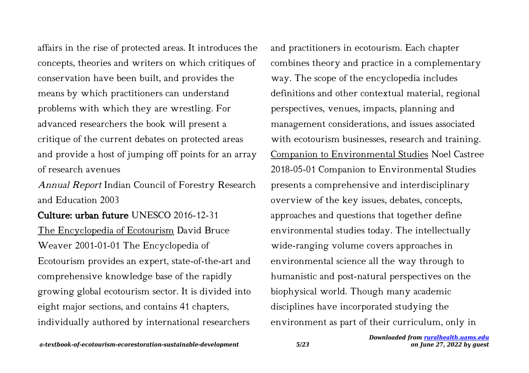affairs in the rise of protected areas. It introduces the concepts, theories and writers on which critiques of conservation have been built, and provides the means by which practitioners can understand problems with which they are wrestling. For advanced researchers the book will present a critique of the current debates on protected areas and provide a host of jumping off points for an array of research avenues

Annual Report Indian Council of Forestry Research and Education 2003

Culture: urban future UNESCO 2016-12-31 The Encyclopedia of Ecotourism David Bruce Weaver 2001-01-01 The Encyclopedia of Ecotourism provides an expert, state-of-the-art and comprehensive knowledge base of the rapidly growing global ecotourism sector. It is divided into eight major sections, and contains 41 chapters, individually authored by international researchers

and practitioners in ecotourism. Each chapter combines theory and practice in a complementary way. The scope of the encyclopedia includes definitions and other contextual material, regional perspectives, venues, impacts, planning and management considerations, and issues associated with ecotourism businesses, research and training. Companion to Environmental Studies Noel Castree 2018-05-01 Companion to Environmental Studies presents a comprehensive and interdisciplinary overview of the key issues, debates, concepts, approaches and questions that together define environmental studies today. The intellectually wide-ranging volume covers approaches in environmental science all the way through to humanistic and post-natural perspectives on the biophysical world. Though many academic disciplines have incorporated studying the environment as part of their curriculum, only in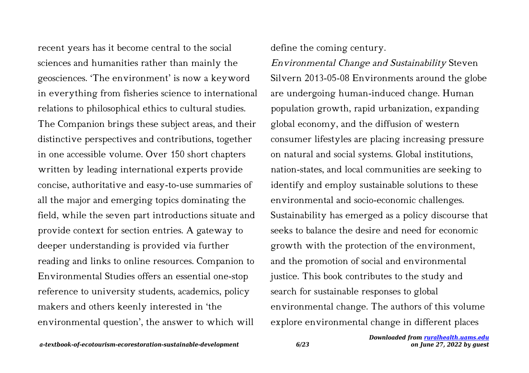recent years has it become central to the social sciences and humanities rather than mainly the geosciences. 'The environment' is now a keyword in everything from fisheries science to international relations to philosophical ethics to cultural studies. The Companion brings these subject areas, and their distinctive perspectives and contributions, together in one accessible volume. Over 150 short chapters written by leading international experts provide concise, authoritative and easy-to-use summaries of all the major and emerging topics dominating the field, while the seven part introductions situate and provide context for section entries. A gateway to deeper understanding is provided via further reading and links to online resources. Companion to Environmental Studies offers an essential one-stop reference to university students, academics, policy makers and others keenly interested in 'the environmental question', the answer to which will

define the coming century.

Environmental Change and Sustainability Steven Silvern 2013-05-08 Environments around the globe are undergoing human-induced change. Human population growth, rapid urbanization, expanding global economy, and the diffusion of western consumer lifestyles are placing increasing pressure on natural and social systems. Global institutions, nation-states, and local communities are seeking to identify and employ sustainable solutions to these environmental and socio-economic challenges. Sustainability has emerged as a policy discourse that seeks to balance the desire and need for economic growth with the protection of the environment, and the promotion of social and environmental justice. This book contributes to the study and search for sustainable responses to global environmental change. The authors of this volume explore environmental change in different places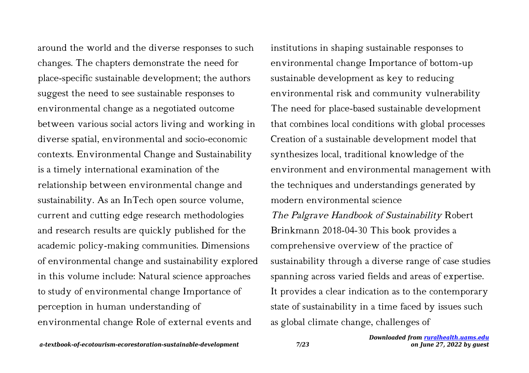around the world and the diverse responses to such changes. The chapters demonstrate the need for place-specific sustainable development; the authors suggest the need to see sustainable responses to environmental change as a negotiated outcome between various social actors living and working in diverse spatial, environmental and socio-economic contexts. Environmental Change and Sustainability is a timely international examination of the relationship between environmental change and sustainability. As an InTech open source volume, current and cutting edge research methodologies and research results are quickly published for the academic policy-making communities. Dimensions of environmental change and sustainability explored in this volume include: Natural science approaches to study of environmental change Importance of perception in human understanding of environmental change Role of external events and

institutions in shaping sustainable responses to environmental change Importance of bottom-up sustainable development as key to reducing environmental risk and community vulnerability The need for place-based sustainable development that combines local conditions with global processes Creation of a sustainable development model that synthesizes local, traditional knowledge of the environment and environmental management with the techniques and understandings generated by modern environmental science The Palgrave Handbook of Sustainability Robert Brinkmann 2018-04-30 This book provides a comprehensive overview of the practice of sustainability through a diverse range of case studies spanning across varied fields and areas of expertise. It provides a clear indication as to the contemporary state of sustainability in a time faced by issues such as global climate change, challenges of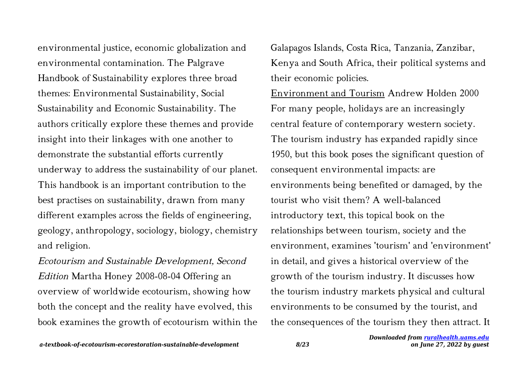environmental justice, economic globalization and environmental contamination. The Palgrave Handbook of Sustainability explores three broad themes: Environmental Sustainability, Social Sustainability and Economic Sustainability. The authors critically explore these themes and provide insight into their linkages with one another to demonstrate the substantial efforts currently underway to address the sustainability of our planet. This handbook is an important contribution to the best practises on sustainability, drawn from many different examples across the fields of engineering, geology, anthropology, sociology, biology, chemistry and religion.

Ecotourism and Sustainable Development, Second Edition Martha Honey 2008-08-04 Offering an overview of worldwide ecotourism, showing how both the concept and the reality have evolved, this book examines the growth of ecotourism within the Galapagos Islands, Costa Rica, Tanzania, Zanzibar, Kenya and South Africa, their political systems and their economic policies.

Environment and Tourism Andrew Holden 2000 For many people, holidays are an increasingly central feature of contemporary western society. The tourism industry has expanded rapidly since 1950, but this book poses the significant question of consequent environmental impacts: are environments being benefited or damaged, by the tourist who visit them? A well-balanced introductory text, this topical book on the relationships between tourism, society and the environment, examines 'tourism' and 'environment' in detail, and gives a historical overview of the growth of the tourism industry. It discusses how the tourism industry markets physical and cultural environments to be consumed by the tourist, and the consequences of the tourism they then attract. It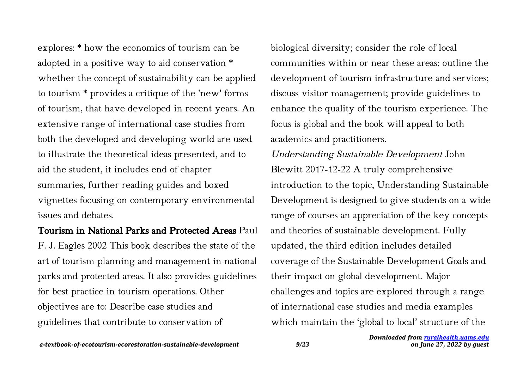explores: \* how the economics of tourism can be adopted in a positive way to aid conservation \* whether the concept of sustainability can be applied to tourism \* provides a critique of the 'new' forms of tourism, that have developed in recent years. An extensive range of international case studies from both the developed and developing world are used to illustrate the theoretical ideas presented, and to aid the student, it includes end of chapter summaries, further reading guides and boxed vignettes focusing on contemporary environmental issues and debates.

## Tourism in National Parks and Protected Areas Paul

F. J. Eagles 2002 This book describes the state of the art of tourism planning and management in national parks and protected areas. It also provides guidelines for best practice in tourism operations. Other objectives are to: Describe case studies and guidelines that contribute to conservation of

biological diversity; consider the role of local communities within or near these areas; outline the development of tourism infrastructure and services; discuss visitor management; provide guidelines to enhance the quality of the tourism experience. The focus is global and the book will appeal to both academics and practitioners.

Understanding Sustainable Development John Blewitt 2017-12-22 A truly comprehensive introduction to the topic, Understanding Sustainable Development is designed to give students on a wide range of courses an appreciation of the key concepts and theories of sustainable development. Fully updated, the third edition includes detailed coverage of the Sustainable Development Goals and their impact on global development. Major challenges and topics are explored through a range of international case studies and media examples which maintain the 'global to local' structure of the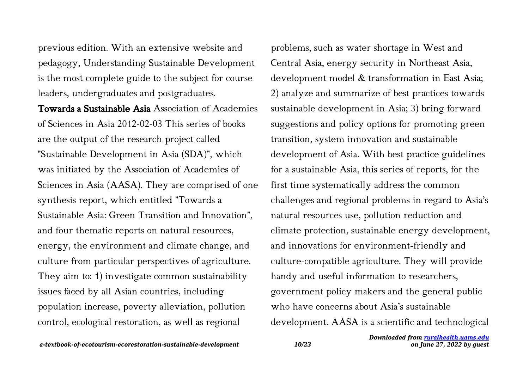previous edition. With an extensive website and pedagogy, Understanding Sustainable Development is the most complete guide to the subject for course leaders, undergraduates and postgraduates.

Towards a Sustainable Asia Association of Academies of Sciences in Asia 2012-02-03 This series of books are the output of the research project called "Sustainable Development in Asia (SDA)", which was initiated by the Association of Academies of Sciences in Asia (AASA). They are comprised of one synthesis report, which entitled "Towards a Sustainable Asia: Green Transition and Innovation", and four thematic reports on natural resources, energy, the environment and climate change, and culture from particular perspectives of agriculture. They aim to: 1) investigate common sustainability issues faced by all Asian countries, including population increase, poverty alleviation, pollution control, ecological restoration, as well as regional

problems, such as water shortage in West and Central Asia, energy security in Northeast Asia, development model & transformation in East Asia; 2) analyze and summarize of best practices towards sustainable development in Asia; 3) bring forward suggestions and policy options for promoting green transition, system innovation and sustainable development of Asia. With best practice guidelines for a sustainable Asia, this series of reports, for the first time systematically address the common challenges and regional problems in regard to Asia's natural resources use, pollution reduction and climate protection, sustainable energy development, and innovations for environment-friendly and culture-compatible agriculture. They will provide handy and useful information to researchers, government policy makers and the general public who have concerns about Asia's sustainable development. AASA is a scientific and technological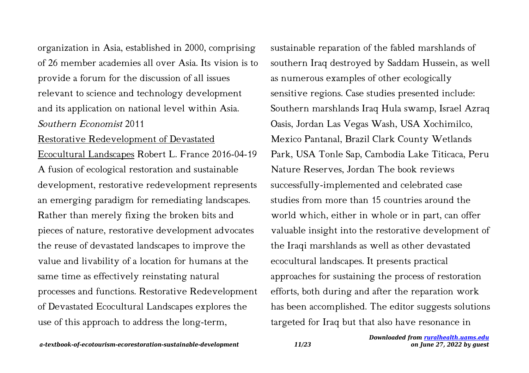organization in Asia, established in 2000, comprising of 26 member academies all over Asia. Its vision is to provide a forum for the discussion of all issues relevant to science and technology development and its application on national level within Asia. Southern Economist 2011

#### Restorative Redevelopment of Devastated

Ecocultural Landscapes Robert L. France 2016-04-19 A fusion of ecological restoration and sustainable development, restorative redevelopment represents an emerging paradigm for remediating landscapes. Rather than merely fixing the broken bits and pieces of nature, restorative development advocates the reuse of devastated landscapes to improve the value and livability of a location for humans at the same time as effectively reinstating natural processes and functions. Restorative Redevelopment of Devastated Ecocultural Landscapes explores the use of this approach to address the long-term,

sustainable reparation of the fabled marshlands of southern Iraq destroyed by Saddam Hussein, as well as numerous examples of other ecologically sensitive regions. Case studies presented include: Southern marshlands Iraq Hula swamp, Israel Azraq Oasis, Jordan Las Vegas Wash, USA Xochimilco, Mexico Pantanal, Brazil Clark County Wetlands Park, USA Tonle Sap, Cambodia Lake Titicaca, Peru Nature Reserves, Jordan The book reviews successfully-implemented and celebrated case studies from more than 15 countries around the world which, either in whole or in part, can offer valuable insight into the restorative development of the Iraqi marshlands as well as other devastated ecocultural landscapes. It presents practical approaches for sustaining the process of restoration efforts, both during and after the reparation work has been accomplished. The editor suggests solutions targeted for Iraq but that also have resonance in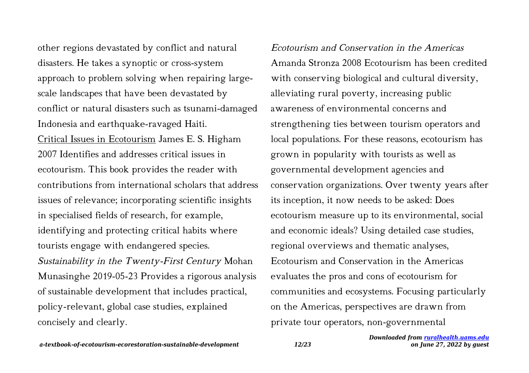other regions devastated by conflict and natural disasters. He takes a synoptic or cross-system approach to problem solving when repairing largescale landscapes that have been devastated by conflict or natural disasters such as tsunami-damaged Indonesia and earthquake-ravaged Haiti. Critical Issues in Ecotourism James E. S. Higham 2007 Identifies and addresses critical issues in ecotourism. This book provides the reader with contributions from international scholars that address issues of relevance; incorporating scientific insights in specialised fields of research, for example, identifying and protecting critical habits where tourists engage with endangered species. Sustainability in the Twenty-First Century Mohan Munasinghe 2019-05-23 Provides a rigorous analysis of sustainable development that includes practical, policy-relevant, global case studies, explained concisely and clearly.

Ecotourism and Conservation in the Americas Amanda Stronza 2008 Ecotourism has been credited with conserving biological and cultural diversity, alleviating rural poverty, increasing public awareness of environmental concerns and strengthening ties between tourism operators and local populations. For these reasons, ecotourism has grown in popularity with tourists as well as governmental development agencies and conservation organizations. Over twenty years after its inception, it now needs to be asked: Does ecotourism measure up to its environmental, social and economic ideals? Using detailed case studies, regional overviews and thematic analyses, Ecotourism and Conservation in the Americas evaluates the pros and cons of ecotourism for communities and ecosystems. Focusing particularly on the Americas, perspectives are drawn from private tour operators, non-governmental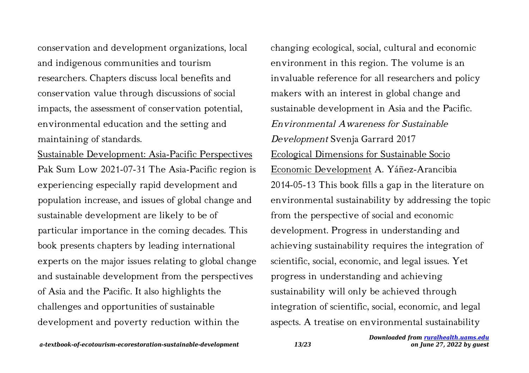conservation and development organizations, local and indigenous communities and tourism researchers. Chapters discuss local benefits and conservation value through discussions of social impacts, the assessment of conservation potential, environmental education and the setting and maintaining of standards.

Sustainable Development: Asia-Pacific Perspectives Pak Sum Low 2021-07-31 The Asia-Pacific region is experiencing especially rapid development and population increase, and issues of global change and sustainable development are likely to be of particular importance in the coming decades. This book presents chapters by leading international experts on the major issues relating to global change and sustainable development from the perspectives of Asia and the Pacific. It also highlights the challenges and opportunities of sustainable development and poverty reduction within the

changing ecological, social, cultural and economic environment in this region. The volume is an invaluable reference for all researchers and policy makers with an interest in global change and sustainable development in Asia and the Pacific. Environmental Awareness for Sustainable Development Svenja Garrard 2017 Ecological Dimensions for Sustainable Socio Economic Development A. Yáñez-Arancibia 2014-05-13 This book fills a gap in the literature on environmental sustainability by addressing the topic from the perspective of social and economic development. Progress in understanding and achieving sustainability requires the integration of scientific, social, economic, and legal issues. Yet progress in understanding and achieving sustainability will only be achieved through integration of scientific, social, economic, and legal aspects. A treatise on environmental sustainability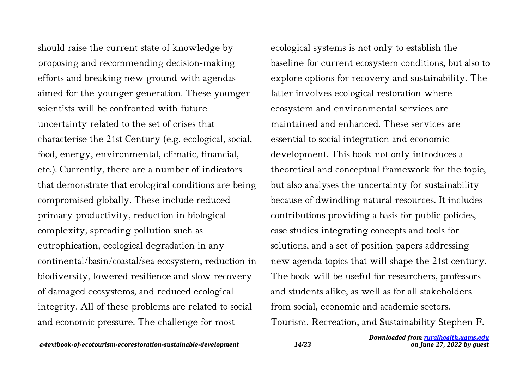should raise the current state of knowledge by proposing and recommending decision-making efforts and breaking new ground with agendas aimed for the younger generation. These younger scientists will be confronted with future uncertainty related to the set of crises that characterise the 21st Century (e.g. ecological, social, food, energy, environmental, climatic, financial, etc.). Currently, there are a number of indicators that demonstrate that ecological conditions are being compromised globally. These include reduced primary productivity, reduction in biological complexity, spreading pollution such as eutrophication, ecological degradation in any continental/basin/coastal/sea ecosystem, reduction in biodiversity, lowered resilience and slow recovery of damaged ecosystems, and reduced ecological integrity. All of these problems are related to social and economic pressure. The challenge for most

ecological systems is not only to establish the baseline for current ecosystem conditions, but also to explore options for recovery and sustainability. The latter involves ecological restoration where ecosystem and environmental services are maintained and enhanced. These services are essential to social integration and economic development. This book not only introduces a theoretical and conceptual framework for the topic, but also analyses the uncertainty for sustainability because of dwindling natural resources. It includes contributions providing a basis for public policies, case studies integrating concepts and tools for solutions, and a set of position papers addressing new agenda topics that will shape the 21st century. The book will be useful for researchers, professors and students alike, as well as for all stakeholders from social, economic and academic sectors.

Tourism, Recreation, and Sustainability Stephen F.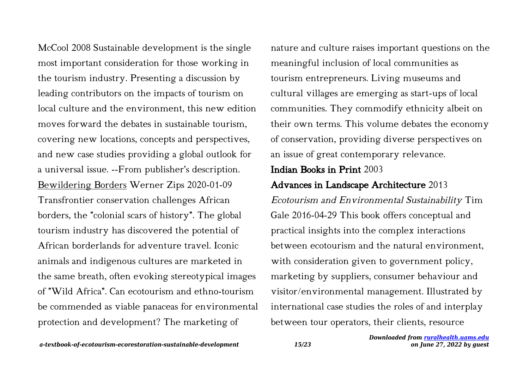McCool 2008 Sustainable development is the single most important consideration for those working in the tourism industry. Presenting a discussion by leading contributors on the impacts of tourism on local culture and the environment, this new edition moves forward the debates in sustainable tourism, covering new locations, concepts and perspectives, and new case studies providing a global outlook for a universal issue. --From publisher's description. Bewildering Borders Werner Zips 2020-01-09 Transfrontier conservation challenges African borders, the "colonial scars of history". The global tourism industry has discovered the potential of African borderlands for adventure travel. Iconic animals and indigenous cultures are marketed in the same breath, often evoking stereotypical images of "Wild Africa". Can ecotourism and ethno-tourism be commended as viable panaceas for environmental protection and development? The marketing of

nature and culture raises important questions on the meaningful inclusion of local communities as tourism entrepreneurs. Living museums and cultural villages are emerging as start-ups of local communities. They commodify ethnicity albeit on their own terms. This volume debates the economy of conservation, providing diverse perspectives on an issue of great contemporary relevance.

# Indian Books in Print 2003

# Advances in Landscape Architecture 2013

Ecotourism and Environmental Sustainability Tim Gale 2016-04-29 This book offers conceptual and practical insights into the complex interactions between ecotourism and the natural environment, with consideration given to government policy, marketing by suppliers, consumer behaviour and visitor/environmental management. Illustrated by international case studies the roles of and interplay between tour operators, their clients, resource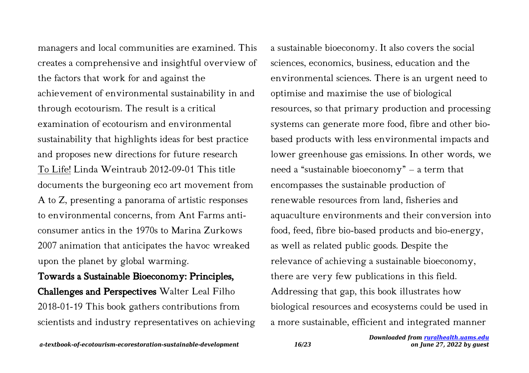managers and local communities are examined. This creates a comprehensive and insightful overview of the factors that work for and against the achievement of environmental sustainability in and through ecotourism. The result is a critical examination of ecotourism and environmental sustainability that highlights ideas for best practice and proposes new directions for future research To Life! Linda Weintraub 2012-09-01 This title documents the burgeoning eco art movement from A to Z, presenting a panorama of artistic responses to environmental concerns, from Ant Farms anticonsumer antics in the 1970s to Marina Zurkows 2007 animation that anticipates the havoc wreaked upon the planet by global warming.

# Towards a Sustainable Bioeconomy: Principles, Challenges and Perspectives Walter Leal Filho 2018-01-19 This book gathers contributions from scientists and industry representatives on achieving

a sustainable bioeconomy. It also covers the social sciences, economics, business, education and the environmental sciences. There is an urgent need to optimise and maximise the use of biological resources, so that primary production and processing systems can generate more food, fibre and other biobased products with less environmental impacts and lower greenhouse gas emissions. In other words, we need a "sustainable bioeconomy" – a term that encompasses the sustainable production of renewable resources from land, fisheries and aquaculture environments and their conversion into food, feed, fibre bio-based products and bio-energy, as well as related public goods. Despite the relevance of achieving a sustainable bioeconomy, there are very few publications in this field. Addressing that gap, this book illustrates how biological resources and ecosystems could be used in a more sustainable, efficient and integrated manner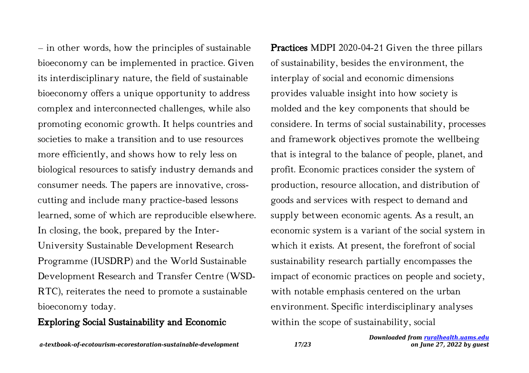– in other words, how the principles of sustainable bioeconomy can be implemented in practice. Given its interdisciplinary nature, the field of sustainable bioeconomy offers a unique opportunity to address complex and interconnected challenges, while also promoting economic growth. It helps countries and societies to make a transition and to use resources more efficiently, and shows how to rely less on biological resources to satisfy industry demands and consumer needs. The papers are innovative, crosscutting and include many practice-based lessons learned, some of which are reproducible elsewhere. In closing, the book, prepared by the Inter-University Sustainable Development Research Programme (IUSDRP) and the World Sustainable Development Research and Transfer Centre (WSD-RTC), reiterates the need to promote a sustainable bioeconomy today.

#### Exploring Social Sustainability and Economic

Practices MDPI 2020-04-21 Given the three pillars of sustainability, besides the environment, the interplay of social and economic dimensions provides valuable insight into how society is molded and the key components that should be considere. In terms of social sustainability, processes and framework objectives promote the wellbeing that is integral to the balance of people, planet, and profit. Economic practices consider the system of production, resource allocation, and distribution of goods and services with respect to demand and supply between economic agents. As a result, an economic system is a variant of the social system in which it exists. At present, the forefront of social sustainability research partially encompasses the impact of economic practices on people and society, with notable emphasis centered on the urban environment. Specific interdisciplinary analyses within the scope of sustainability, social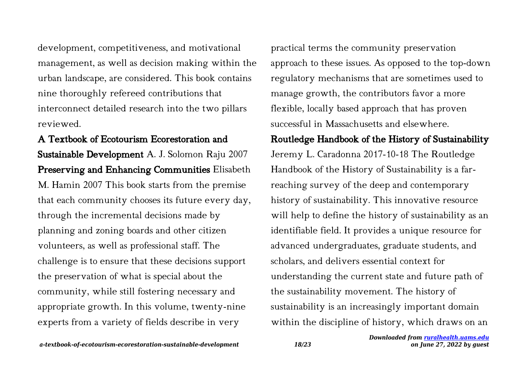development, competitiveness, and motivational management, as well as decision making within the urban landscape, are considered. This book contains nine thoroughly refereed contributions that interconnect detailed research into the two pillars reviewed.

A Textbook of Ecotourism Ecorestoration and Sustainable Development A. J. Solomon Raju 2007 Preserving and Enhancing Communities Elisabeth M. Hamin 2007 This book starts from the premise that each community chooses its future every day, through the incremental decisions made by planning and zoning boards and other citizen volunteers, as well as professional staff. The challenge is to ensure that these decisions support the preservation of what is special about the community, while still fostering necessary and appropriate growth. In this volume, twenty-nine experts from a variety of fields describe in very

practical terms the community preservation approach to these issues. As opposed to the top-down regulatory mechanisms that are sometimes used to manage growth, the contributors favor a more flexible, locally based approach that has proven successful in Massachusetts and elsewhere.

## Routledge Handbook of the History of Sustainability

Jeremy L. Caradonna 2017-10-18 The Routledge Handbook of the History of Sustainability is a farreaching survey of the deep and contemporary history of sustainability. This innovative resource will help to define the history of sustainability as an identifiable field. It provides a unique resource for advanced undergraduates, graduate students, and scholars, and delivers essential context for understanding the current state and future path of the sustainability movement. The history of sustainability is an increasingly important domain within the discipline of history, which draws on an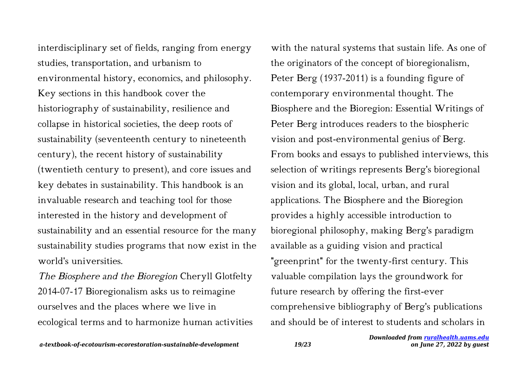interdisciplinary set of fields, ranging from energy studies, transportation, and urbanism to environmental history, economics, and philosophy. Key sections in this handbook cover the historiography of sustainability, resilience and collapse in historical societies, the deep roots of sustainability (seventeenth century to nineteenth century), the recent history of sustainability (twentieth century to present), and core issues and key debates in sustainability. This handbook is an invaluable research and teaching tool for those interested in the history and development of sustainability and an essential resource for the many sustainability studies programs that now exist in the world's universities.

The Biosphere and the Bioregion Cheryll Glotfelty 2014-07-17 Bioregionalism asks us to reimagine ourselves and the places where we live in ecological terms and to harmonize human activities

with the natural systems that sustain life. As one of the originators of the concept of bioregionalism, Peter Berg (1937-2011) is a founding figure of contemporary environmental thought. The Biosphere and the Bioregion: Essential Writings of Peter Berg introduces readers to the biospheric vision and post-environmental genius of Berg. From books and essays to published interviews, this selection of writings represents Berg's bioregional vision and its global, local, urban, and rural applications. The Biosphere and the Bioregion provides a highly accessible introduction to bioregional philosophy, making Berg's paradigm available as a guiding vision and practical "greenprint" for the twenty-first century. This valuable compilation lays the groundwork for future research by offering the first-ever comprehensive bibliography of Berg's publications and should be of interest to students and scholars in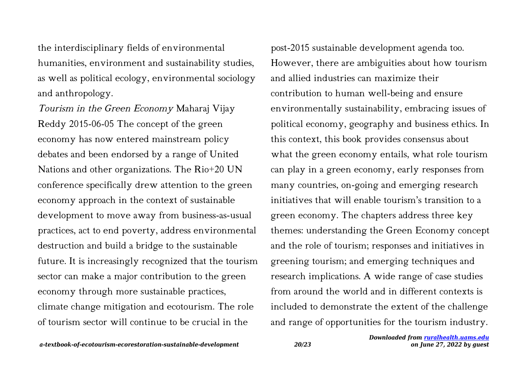the interdisciplinary fields of environmental humanities, environment and sustainability studies, as well as political ecology, environmental sociology and anthropology.

Tourism in the Green Economy Maharaj Vijay Reddy 2015-06-05 The concept of the green economy has now entered mainstream policy debates and been endorsed by a range of United Nations and other organizations. The Rio+20 UN conference specifically drew attention to the green economy approach in the context of sustainable development to move away from business-as-usual practices, act to end poverty, address environmental destruction and build a bridge to the sustainable future. It is increasingly recognized that the tourism sector can make a major contribution to the green economy through more sustainable practices, climate change mitigation and ecotourism. The role of tourism sector will continue to be crucial in the

post-2015 sustainable development agenda too. However, there are ambiguities about how tourism and allied industries can maximize their contribution to human well-being and ensure environmentally sustainability, embracing issues of political economy, geography and business ethics. In this context, this book provides consensus about what the green economy entails, what role tourism can play in a green economy, early responses from many countries, on-going and emerging research initiatives that will enable tourism's transition to a green economy. The chapters address three key themes: understanding the Green Economy concept and the role of tourism; responses and initiatives in greening tourism; and emerging techniques and research implications. A wide range of case studies from around the world and in different contexts is included to demonstrate the extent of the challenge and range of opportunities for the tourism industry.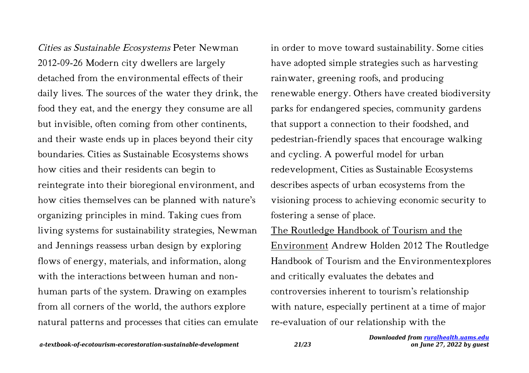Cities as Sustainable Ecosystems Peter Newman 2012-09-26 Modern city dwellers are largely detached from the environmental effects of their daily lives. The sources of the water they drink, the food they eat, and the energy they consume are all but invisible, often coming from other continents, and their waste ends up in places beyond their city boundaries. Cities as Sustainable Ecosystems shows how cities and their residents can begin to reintegrate into their bioregional environment, and how cities themselves can be planned with nature's organizing principles in mind. Taking cues from living systems for sustainability strategies, Newman and Jennings reassess urban design by exploring flows of energy, materials, and information, along with the interactions between human and nonhuman parts of the system. Drawing on examples from all corners of the world, the authors explore natural patterns and processes that cities can emulate in order to move toward sustainability. Some cities have adopted simple strategies such as harvesting rainwater, greening roofs, and producing renewable energy. Others have created biodiversity parks for endangered species, community gardens that support a connection to their foodshed, and pedestrian-friendly spaces that encourage walking and cycling. A powerful model for urban redevelopment, Cities as Sustainable Ecosystems describes aspects of urban ecosystems from the visioning process to achieving economic security to fostering a sense of place.

The Routledge Handbook of Tourism and the Environment Andrew Holden 2012 The Routledge Handbook of Tourism and the Environmentexplores and critically evaluates the debates and controversies inherent to tourism's relationship with nature, especially pertinent at a time of major re-evaluation of our relationship with the